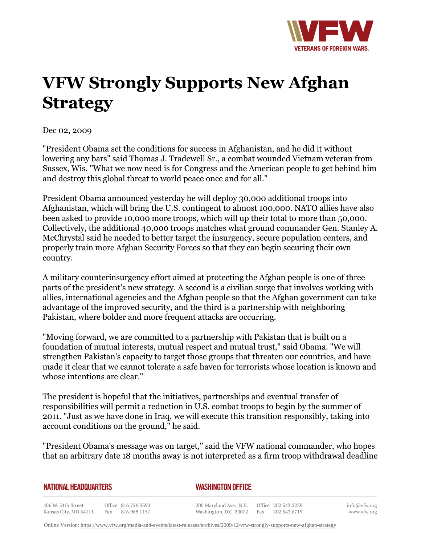

## **VFW Strongly Supports New Afghan Strategy**

Dec 02, 2009

"President Obama set the conditions for success in Afghanistan, and he did it without lowering any bars" said Thomas J. Tradewell Sr., a combat wounded Vietnam veteran from Sussex, Wis. "What we now need is for Congress and the American people to get behind him and destroy this global threat to world peace once and for all."

President Obama announced yesterday he will deploy 30,000 additional troops into Afghanistan, which will bring the U.S. contingent to almost 100,000. NATO allies have also been asked to provide 10,000 more troops, which will up their total to more than 50,000. Collectively, the additional 40,000 troops matches what ground commander Gen. Stanley A. McChrystal said he needed to better target the insurgency, secure population centers, and properly train more Afghan Security Forces so that they can begin securing their own country.

A military counterinsurgency effort aimed at protecting the Afghan people is one of three parts of the president's new strategy. A second is a civilian surge that involves working with allies, international agencies and the Afghan people so that the Afghan government can take advantage of the improved security, and the third is a partnership with neighboring Pakistan, where bolder and more frequent attacks are occurring.

"Moving forward, we are committed to a partnership with Pakistan that is built on a foundation of mutual interests, mutual respect and mutual trust," said Obama. "We will strengthen Pakistan's capacity to target those groups that threaten our countries, and have made it clear that we cannot tolerate a safe haven for terrorists whose location is known and whose intentions are clear."

The president is hopeful that the initiatives, partnerships and eventual transfer of responsibilities will permit a reduction in U.S. combat troops to begin by the summer of 2011. "Just as we have done in Iraq, we will execute this transition responsibly, taking into account conditions on the ground," he said.

"President Obama's message was on target," said the VFW national commander, who hopes that an arbitrary date 18 months away is not interpreted as a firm troop withdrawal deadline

|  | NATIONAL HEADQUARTERS |  |
|--|-----------------------|--|
|  |                       |  |

*WASHINGTON OFFICE* 

406 W. 34th Street Office 816.756.3390 Fax 816.968.1157 Kansas City, MO 64111

200 Maryland Ave., N.E. Washington, D.C. 20002

Office 202.543.2239 Fax 202.543.6719 info@vfw.org www.vfw.org

Online Version:<https://www.vfw.org/media-and-events/latest-releases/archives/2009/12/vfw-strongly-supports-new-afghan-strategy>